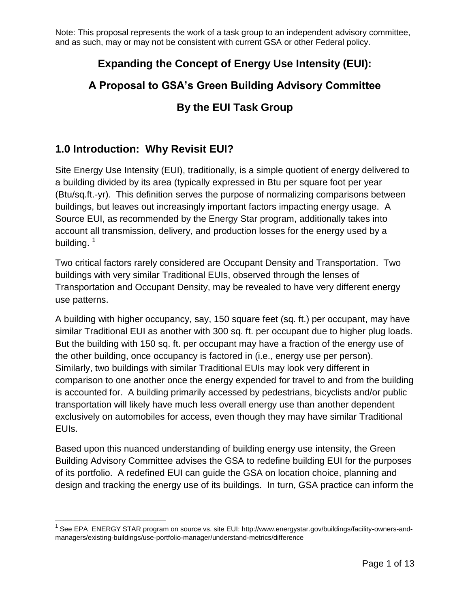### **Expanding the Concept of Energy Use Intensity (EUI):**

# **A Proposal to GSA's Green Building Advisory Committee**

### **By the EUI Task Group**

### **1.0 Introduction: Why Revisit EUI?**

 $\overline{a}$ 

Site Energy Use Intensity (EUI), traditionally, is a simple quotient of energy delivered to a building divided by its area (typically expressed in Btu per square foot per year (Btu/sq.ft.-yr). This definition serves the purpose of normalizing comparisons between buildings, but leaves out increasingly important factors impacting energy usage. A Source EUI, as recommended by the Energy Star program, additionally takes into account all transmission, delivery, and production losses for the energy used by a building.  $1$ 

Two critical factors rarely considered are Occupant Density and Transportation. Two buildings with very similar Traditional EUIs, observed through the lenses of Transportation and Occupant Density, may be revealed to have very different energy use patterns.

A building with higher occupancy, say, 150 square feet (sq. ft.) per occupant, may have similar Traditional EUI as another with 300 sq. ft. per occupant due to higher plug loads. But the building with 150 sq. ft. per occupant may have a fraction of the energy use of the other building, once occupancy is factored in (i.e., energy use per person). Similarly, two buildings with similar Traditional EUIs may look very different in comparison to one another once the energy expended for travel to and from the building is accounted for. A building primarily accessed by pedestrians, bicyclists and/or public transportation will likely have much less overall energy use than another dependent exclusively on automobiles for access, even though they may have similar Traditional EUIs.

Based upon this nuanced understanding of building energy use intensity, the Green Building Advisory Committee advises the GSA to redefine building EUI for the purposes of its portfolio. A redefined EUI can guide the GSA on location choice, planning and design and tracking the energy use of its buildings. In turn, GSA practice can inform the

<sup>&</sup>lt;sup>1</sup> See EPA ENERGY STAR program on source vs. site EUI: http://www.energystar.gov/buildings/facility-owners-andmanagers/existing-buildings/use-portfolio-manager/understand-metrics/difference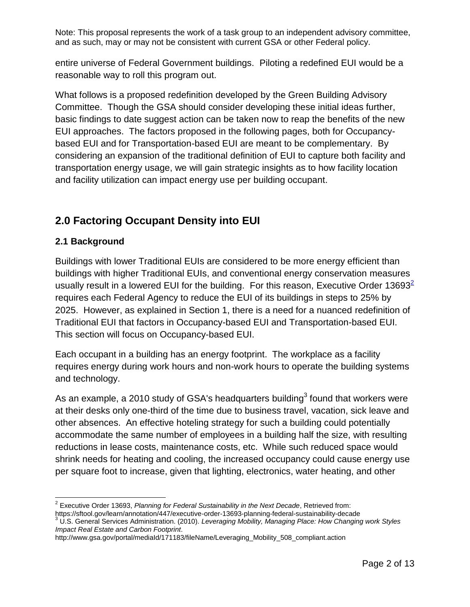entire universe of Federal Government buildings. Piloting a redefined EUI would be a reasonable way to roll this program out.

What follows is a proposed redefinition developed by the Green Building Advisory Committee. Though the GSA should consider developing these initial ideas further, basic findings to date suggest action can be taken now to reap the benefits of the new EUI approaches. The factors proposed in the following pages, both for Occupancybased EUI and for Transportation-based EUI are meant to be complementary. By considering an expansion of the traditional definition of EUI to capture both facility and transportation energy usage, we will gain strategic insights as to how facility location and facility utilization can impact energy use per building occupant.

# **2.0 Factoring Occupant Density into EUI**

#### **2.1 Background**

Buildings with lower Traditional EUIs are considered to be more energy efficient than buildings with higher Traditional EUIs, and conventional energy conservation measures usually result in a lowered EUI for the building. For this reason, Executive Order 13693 $\leq$ requires each Federal Agency to reduce the EUI of its buildings in steps to 25% by 2025. However, as explained in Section 1, there is a need for a nuanced redefinition of Traditional EUI that factors in Occupancy-based EUI and Transportation-based EUI. This section will focus on Occupancy-based EUI.

Each occupant in a building has an energy footprint. The workplace as a facility requires energy during work hours and non-work hours to operate the building systems and technology.

As an example, a 2010 study of GSA's headquarters building<sup>3</sup> found that workers were at their desks only one-third of the time due to business travel, vacation, sick leave and other absences. An effective hoteling strategy for such a building could potentially accommodate the same number of employees in a building half the size, with resulting reductions in lease costs, maintenance costs, etc. While such reduced space would shrink needs for heating and cooling, the increased occupancy could cause energy use per square foot to increase, given that lighting, electronics, water heating, and other

 $\overline{a}$ 2 Executive Order 13693, *Planning for Federal Sustainability in the Next Decade*, Retrieved from:

https://sftool.gov/learn/annotation/447/executive-order-13693-planning-federal-sustainability-decade

<sup>3</sup> U.S. General Services Administration. (2010). *Leveraging Mobility, Managing Place: How Changing work Styles Impact Real Estate and Carbon Footprint*.

http://www.gsa.gov/portal/mediaId/171183/fileName/Leveraging\_Mobility\_508\_compliant.action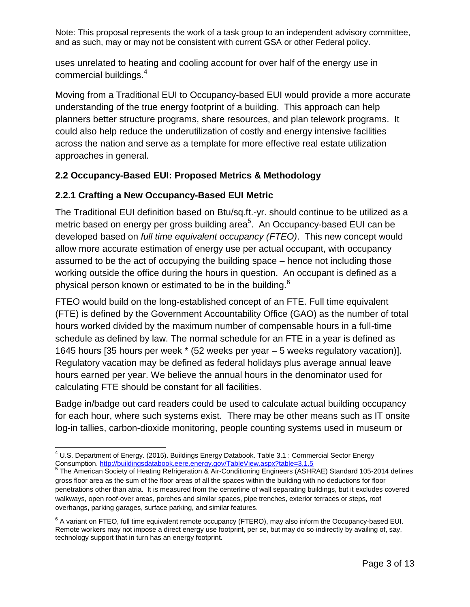uses unrelated to heating and cooling account for over half of the energy use in commercial buildings.<sup>4</sup>

Moving from a Traditional EUI to Occupancy-based EUI would provide a more accurate understanding of the true energy footprint of a building. This approach can help planners better structure programs, share resources, and plan telework programs. It could also help reduce the underutilization of costly and energy intensive facilities across the nation and serve as a template for more effective real estate utilization approaches in general.

#### **2.2 Occupancy-Based EUI: Proposed Metrics & Methodology**

#### **2.2.1 Crafting a New Occupancy-Based EUI Metric**

The Traditional EUI definition based on Btu/sq.ft.-yr. should continue to be utilized as a metric based on energy per gross building area<sup>5</sup>. An Occupancy-based EUI can be developed based on *full time equivalent occupancy (FTEO)*. This new concept would allow more accurate estimation of energy use per actual occupant, with occupancy assumed to be the act of occupying the building space – hence not including those working outside the office during the hours in question. An occupant is defined as a physical person known or estimated to be in the building.<sup>6</sup>

FTEO would build on the long-established concept of an FTE. Full time equivalent (FTE) is defined by the Government Accountability Office (GAO) as the number of total hours worked divided by the maximum number of compensable hours in a full-time schedule as defined by law. The normal schedule for an FTE in a year is defined as 1645 hours [35 hours per week \* (52 weeks per year – 5 weeks regulatory vacation)]. Regulatory vacation may be defined as federal holidays plus average annual leave hours earned per year. We believe the annual hours in the denominator used for calculating FTE should be constant for all facilities.

Badge in/badge out card readers could be used to calculate actual building occupancy for each hour, where such systems exist. There may be other means such as IT onsite log-in tallies, carbon-dioxide monitoring, people counting systems used in museum or

 $\overline{a}$  $^{4}$  U.S. Department of Energy. (2015). Buildings Energy Databook. Table 3.1 : Commercial Sector Energy Consumption.<http://buildingsdatabook.eere.energy.gov/TableView.aspx?table=3.1.5>

<sup>&</sup>lt;sup>5</sup> The American Society of Heating Refrigeration & Air-Conditioning Engineers (ASHRAE) Standard 105-2014 defines gross floor area as the sum of the floor areas of all the spaces within the building with no deductions for floor penetrations other than atria. It is measured from the centerline of wall separating buildings, but it excludes covered walkways, open roof-over areas, porches and similar spaces, pipe trenches, exterior terraces or steps, roof overhangs, parking garages, surface parking, and similar features.

 $^6$  A variant on FTEO, full time equivalent remote occupancy (FTERO), may also inform the Occupancy-based EUI. Remote workers may not impose a direct energy use footprint, per se, but may do so indirectly by availing of, say, technology support that in turn has an energy footprint.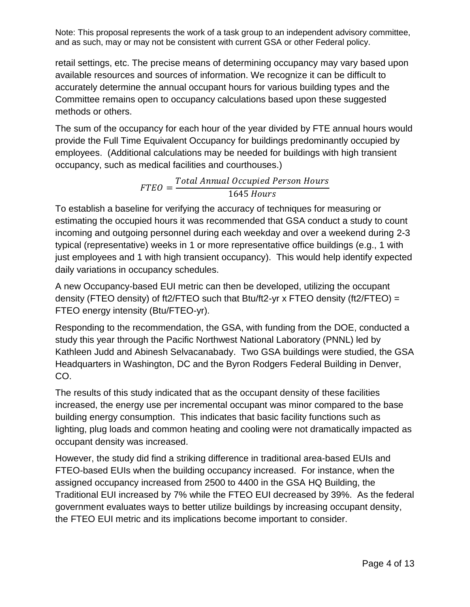retail settings, etc. The precise means of determining occupancy may vary based upon available resources and sources of information. We recognize it can be difficult to accurately determine the annual occupant hours for various building types and the Committee remains open to occupancy calculations based upon these suggested methods or others.

The sum of the occupancy for each hour of the year divided by FTE annual hours would provide the Full Time Equivalent Occupancy for buildings predominantly occupied by employees. (Additional calculations may be needed for buildings with high transient occupancy, such as medical facilities and courthouses.)

> $FTEO = \frac{1}{2}$ Total Annual Occupied Person Hours 1645 *Hours*

To establish a baseline for verifying the accuracy of techniques for measuring or estimating the occupied hours it was recommended that GSA conduct a study to count incoming and outgoing personnel during each weekday and over a weekend during 2-3 typical (representative) weeks in 1 or more representative office buildings (e.g., 1 with just employees and 1 with high transient occupancy). This would help identify expected daily variations in occupancy schedules.

A new Occupancy-based EUI metric can then be developed, utilizing the occupant density (FTEO density) of ft2/FTEO such that Btu/ft2-yr x FTEO density (ft2/FTEO) = FTEO energy intensity (Btu/FTEO-yr).

Responding to the recommendation, the GSA, with funding from the DOE, conducted a study this year through the Pacific Northwest National Laboratory (PNNL) led by Kathleen Judd and Abinesh Selvacanabady. Two GSA buildings were studied, the GSA Headquarters in Washington, DC and the Byron Rodgers Federal Building in Denver, CO.

The results of this study indicated that as the occupant density of these facilities increased, the energy use per incremental occupant was minor compared to the base building energy consumption. This indicates that basic facility functions such as lighting, plug loads and common heating and cooling were not dramatically impacted as occupant density was increased.

However, the study did find a striking difference in traditional area-based EUIs and FTEO-based EUIs when the building occupancy increased. For instance, when the assigned occupancy increased from 2500 to 4400 in the GSA HQ Building, the Traditional EUI increased by 7% while the FTEO EUI decreased by 39%. As the federal government evaluates ways to better utilize buildings by increasing occupant density, the FTEO EUI metric and its implications become important to consider.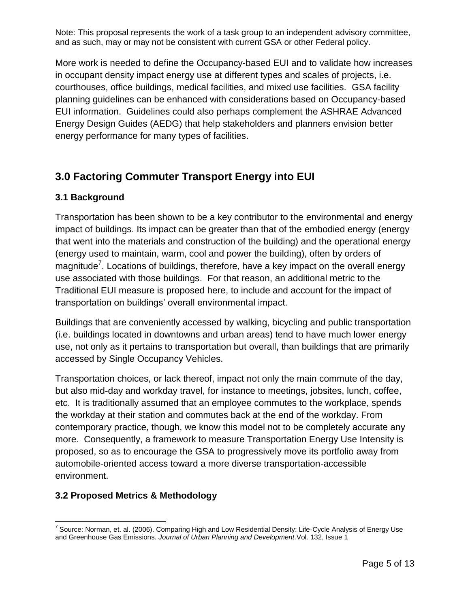More work is needed to define the Occupancy-based EUI and to validate how increases in occupant density impact energy use at different types and scales of projects, i.e. courthouses, office buildings, medical facilities, and mixed use facilities. GSA facility planning guidelines can be enhanced with considerations based on Occupancy-based EUI information. Guidelines could also perhaps complement the ASHRAE Advanced Energy Design Guides (AEDG) that help stakeholders and planners envision better energy performance for many types of facilities.

# **3.0 Factoring Commuter Transport Energy into EUI**

#### **3.1 Background**

Transportation has been shown to be a key contributor to the environmental and energy impact of buildings. Its impact can be greater than that of the embodied energy (energy that went into the materials and construction of the building) and the operational energy (energy used to maintain, warm, cool and power the building), often by orders of magnitude<sup>7</sup>. Locations of buildings, therefore, have a key impact on the overall energy use associated with those buildings. For that reason, an additional metric to the Traditional EUI measure is proposed here, to include and account for the impact of transportation on buildings' overall environmental impact.

Buildings that are conveniently accessed by walking, bicycling and public transportation (i.e. buildings located in downtowns and urban areas) tend to have much lower energy use, not only as it pertains to transportation but overall, than buildings that are primarily accessed by Single Occupancy Vehicles.

Transportation choices, or lack thereof, impact not only the main commute of the day, but also mid-day and workday travel, for instance to meetings, jobsites, lunch, coffee, etc. It is traditionally assumed that an employee commutes to the workplace, spends the workday at their station and commutes back at the end of the workday. From contemporary practice, though, we know this model not to be completely accurate any more. Consequently, a framework to measure Transportation Energy Use Intensity is proposed, so as to encourage the GSA to progressively move its portfolio away from automobile-oriented access toward a more diverse transportation-accessible environment.

### **3.2 Proposed Metrics & Methodology**

 $\overline{a}$ <sup>7</sup> Source: Norman, et. al. (2006). Comparing High and Low Residential Density: Life-Cycle Analysis of Energy Use and Greenhouse Gas Emissions*. Journal of Urban Planning and Development.*Vol. 132, Issue 1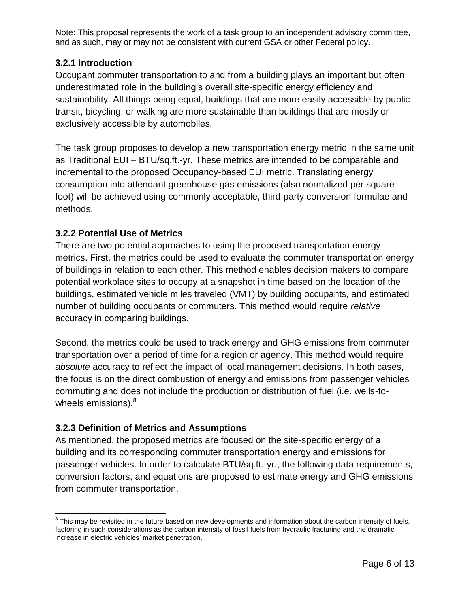#### **3.2.1 Introduction**

Occupant commuter transportation to and from a building plays an important but often underestimated role in the building's overall site-specific energy efficiency and sustainability. All things being equal, buildings that are more easily accessible by public transit, bicycling, or walking are more sustainable than buildings that are mostly or exclusively accessible by automobiles.

The task group proposes to develop a new transportation energy metric in the same unit as Traditional EUI – BTU/sq.ft.-yr. These metrics are intended to be comparable and incremental to the proposed Occupancy-based EUI metric. Translating energy consumption into attendant greenhouse gas emissions (also normalized per square foot) will be achieved using commonly acceptable, third-party conversion formulae and methods.

#### **3.2.2 Potential Use of Metrics**

There are two potential approaches to using the proposed transportation energy metrics. First, the metrics could be used to evaluate the commuter transportation energy of buildings in relation to each other. This method enables decision makers to compare potential workplace sites to occupy at a snapshot in time based on the location of the buildings, estimated vehicle miles traveled (VMT) by building occupants, and estimated number of building occupants or commuters. This method would require *relative* accuracy in comparing buildings.

Second, the metrics could be used to track energy and GHG emissions from commuter transportation over a period of time for a region or agency. This method would require *absolute* accuracy to reflect the impact of local management decisions. In both cases, the focus is on the direct combustion of energy and emissions from passenger vehicles commuting and does not include the production or distribution of fuel (i.e. wells-towheels emissions). $8<sup>8</sup>$ 

#### **3.2.3 Definition of Metrics and Assumptions**

As mentioned, the proposed metrics are focused on the site-specific energy of a building and its corresponding commuter transportation energy and emissions for passenger vehicles. In order to calculate BTU/sq.ft.-yr., the following data requirements, conversion factors, and equations are proposed to estimate energy and GHG emissions from commuter transportation.

 $\overline{a}$  $8$  This may be revisited in the future based on new developments and information about the carbon intensity of fuels, factoring in such considerations as the carbon intensity of fossil fuels from hydraulic fracturing and the dramatic increase in electric vehicles' market penetration.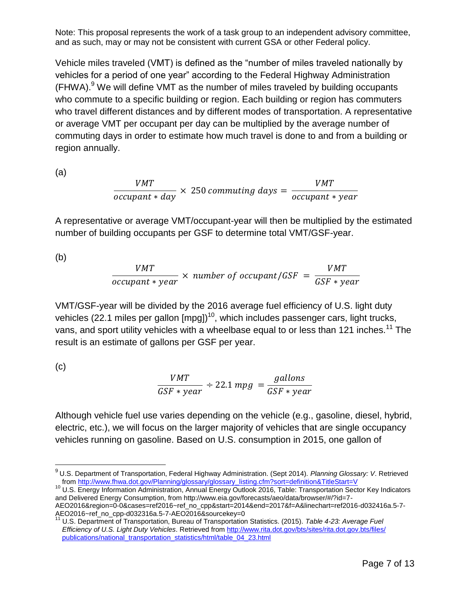Vehicle miles traveled (VMT) is defined as the "number of miles traveled nationally by vehicles for a period of one year" according to the Federal Highway Administration  $(FHWA).<sup>9</sup>$  We will define VMT as the number of miles traveled by building occupants who commute to a specific building or region. Each building or region has commuters who travel different distances and by different modes of transportation. A representative or average VMT per occupant per day can be multiplied by the average number of commuting days in order to estimate how much travel is done to and from a building or region annually.

(a)

$$
\frac{VMT}{occupant * day} \times 250 \, commuting \, days = \frac{VMT}{occupant * year}
$$

A representative or average VMT/occupant-year will then be multiplied by the estimated number of building occupants per GSF to determine total VMT/GSF-year.

(b)

$$
\frac{VMT}{occupant * year} \times number of occur part/GSF = \frac{VMT}{GSF * year}
$$

VMT/GSF-year will be divided by the 2016 average fuel efficiency of U.S. light duty vehicles (22.1 miles per gallon  $[mpq]$ <sup>10</sup>, which includes passenger cars, light trucks, vans, and sport utility vehicles with a wheelbase equal to or less than 121 inches.<sup>11</sup> The result is an estimate of gallons per GSF per year.

(c)

 $\overline{a}$ 

$$
\frac{VMT}{GSF * year} \div 22.1 \, mpg = \frac{gallons}{GSF * year}
$$

Although vehicle fuel use varies depending on the vehicle (e.g., gasoline, diesel, hybrid, electric, etc.), we will focus on the larger majority of vehicles that are single occupancy vehicles running on gasoline. Based on U.S. consumption in 2015, one gallon of

<sup>10</sup> U.S. Energy Information Administration, Annual Energy Outlook 2016, Table: Transportation Sector Key Indicators and Delivered Energy Consumption, from http://www.eia.gov/forecasts/aeo/data/browser/#/?id=7- AEO2016&region=0-0&cases=ref2016~ref\_no\_cpp&start=2014&end=2017&f=A&linechart=ref2016-d032416a.5-7- AEO2016~ref\_no\_cpp-d032316a.5-7-AEO2016&sourcekey=0

<sup>9</sup> U.S. Department of Transportation, Federal Highway Administration. (Sept 2014). *Planning Glossary: V*. Retrieved fro[m http://www.fhwa.dot.gov/Planning/glossary/glossary\\_listing.cfm?sort=definition&TitleStart=V](http://www.fhwa.dot.gov/Planning/glossary/glossary_listing.cfm?sort=definition&TitleStart=V)

<sup>11</sup> U.S. Department of Transportation, Bureau of Transportation Statistics. (2015). *Table 4-23: Average Fuel Efficiency of U.S. Light Duty Vehicles*. Retrieved fro[m http://www.rita.dot.gov/bts/sites/rita.dot.gov.bts/files/](http://www.rita.dot.gov/bts/sites/rita.dot.gov.bts/files/%20publications/national_transportation_statistics/html/table_04_23.html)  [publications/national\\_transportation\\_statistics/html/table\\_04\\_23.html](http://www.rita.dot.gov/bts/sites/rita.dot.gov.bts/files/%20publications/national_transportation_statistics/html/table_04_23.html)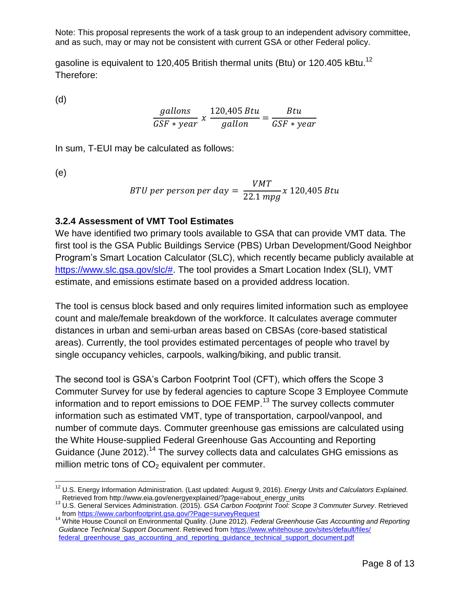gasoline is equivalent to 120,405 British thermal units (Btu) or 120.405 kBtu.<sup>12</sup> Therefore:

(d)

$$
\frac{gallons}{GSF\ast year} \times \frac{120,405 \, Btu}{gallon} = \frac{Btu}{GSF\ast year}
$$

In sum, T-EUI may be calculated as follows:

(e)

$$
BTU\,per\,person\,per\,day = \frac{VMT}{22.1\,mpg}x\,120,405\,Btu
$$

#### **3.2.4 Assessment of VMT Tool Estimates**

We have identified two primary tools available to GSA that can provide VMT data. The first tool is the GSA Public Buildings Service (PBS) Urban Development/Good Neighbor Program's Smart Location Calculator (SLC), which recently became publicly available at [https://www.slc.gsa.gov/slc/#.](https://www.slc.gsa.gov/slc/) The tool provides a Smart Location Index (SLI), VMT estimate, and emissions estimate based on a provided address location.

The tool is census block based and only requires limited information such as employee count and male/female breakdown of the workforce. It calculates average commuter distances in urban and semi-urban areas based on CBSAs (core-based statistical areas). Currently, the tool provides estimated percentages of people who travel by single occupancy vehicles, carpools, walking/biking, and public transit.

The second tool is GSA's Carbon Footprint Tool (CFT), which offers the Scope 3 Commuter Survey for use by federal agencies to capture Scope 3 Employee Commute information and to report emissions to DOE FEMP.<sup>13</sup> The survey collects commuter information such as estimated VMT, type of transportation, carpool/vanpool, and number of commute days. Commuter greenhouse gas emissions are calculated using the White House-supplied Federal Greenhouse Gas Accounting and Reporting Guidance (June 2012).<sup>14</sup> The survey collects data and calculates GHG emissions as million metric tons of  $CO<sub>2</sub>$  equivalent per commuter.

 $\overline{a}$ <sup>12</sup> U.S. Energy Information Administration. (Last updated: August 9, 2016). *Energy Units and Calculators Explained*. Retrieved from http://www.eia.gov/energyexplained/?page=about\_energy\_units

<sup>13</sup> U.S. General Services Administration. (2015). *GSA Carbon Footprint Tool: Scope 3 Commuter Survey*. Retrieved fro[m https://www.carbonfootprint.gsa.gov/?Page=surveyRequest](https://www.carbonfootprint.gsa.gov/?Page=surveyRequest)

<sup>14</sup> White House Council on Environmental Quality. (June 2012). *Federal Greenhouse Gas Accounting and Reporting Guidance Technical Support Document*. Retrieved from [https://www.whitehouse.gov/sites/default/files/](https://www.whitehouse.gov/sites/default/files/%20federal_greenhouse_gas_accounting_and_reporting_guidance_technical_support_document.pdf)  [federal\\_greenhouse\\_gas\\_accounting\\_and\\_reporting\\_guidance\\_technical\\_support\\_document.pdf](https://www.whitehouse.gov/sites/default/files/%20federal_greenhouse_gas_accounting_and_reporting_guidance_technical_support_document.pdf)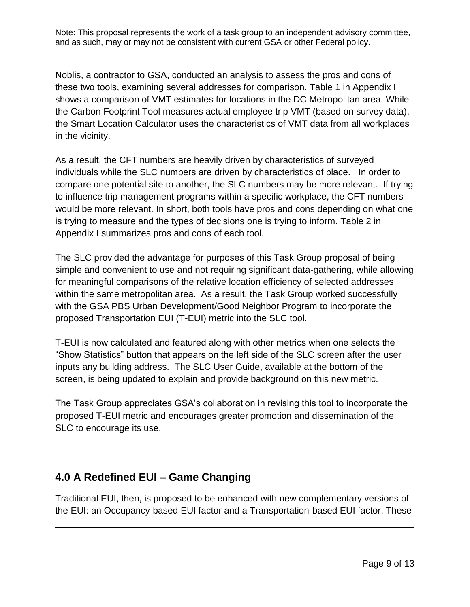Noblis, a contractor to GSA, conducted an analysis to assess the pros and cons of these two tools, examining several addresses for comparison. Table 1 in Appendix I shows a comparison of VMT estimates for locations in the DC Metropolitan area. While the Carbon Footprint Tool measures actual employee trip VMT (based on survey data), the Smart Location Calculator uses the characteristics of VMT data from all workplaces in the vicinity.

As a result, the CFT numbers are heavily driven by characteristics of surveyed individuals while the SLC numbers are driven by characteristics of place. In order to compare one potential site to another, the SLC numbers may be more relevant. If trying to influence trip management programs within a specific workplace, the CFT numbers would be more relevant. In short, both tools have pros and cons depending on what one is trying to measure and the types of decisions one is trying to inform. Table 2 in Appendix I summarizes pros and cons of each tool.

The SLC provided the advantage for purposes of this Task Group proposal of being simple and convenient to use and not requiring significant data-gathering, while allowing for meaningful comparisons of the relative location efficiency of selected addresses within the same metropolitan area. As a result, the Task Group worked successfully with the GSA PBS Urban Development/Good Neighbor Program to incorporate the proposed Transportation EUI (T-EUI) metric into the SLC tool.

T-EUI is now calculated and featured along with other metrics when one selects the "Show Statistics" button that appears on the left side of the SLC screen after the user inputs any building address. The SLC User Guide, available at the bottom of the screen, is being updated to explain and provide background on this new metric.

The Task Group appreciates GSA's collaboration in revising this tool to incorporate the proposed T-EUI metric and encourages greater promotion and dissemination of the SLC to encourage its use.

## **4.0 A Redefined EUI – Game Changing**

 $\overline{a}$ 

Traditional EUI, then, is proposed to be enhanced with new complementary versions of the EUI: an Occupancy-based EUI factor and a Transportation-based EUI factor. These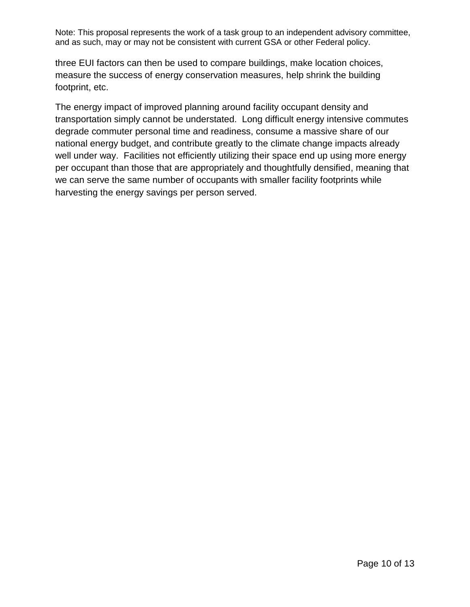three EUI factors can then be used to compare buildings, make location choices, measure the success of energy conservation measures, help shrink the building footprint, etc.

The energy impact of improved planning around facility occupant density and transportation simply cannot be understated. Long difficult energy intensive commutes degrade commuter personal time and readiness, consume a massive share of our national energy budget, and contribute greatly to the climate change impacts already well under way. Facilities not efficiently utilizing their space end up using more energy per occupant than those that are appropriately and thoughtfully densified, meaning that we can serve the same number of occupants with smaller facility footprints while harvesting the energy savings per person served.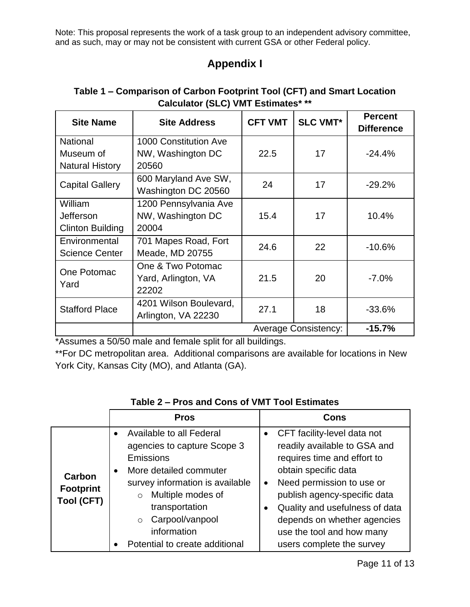# **Appendix I**

| <b>Site Name</b>        | <b>Site Address</b>    | <b>CFT VMT</b>              | <b>SLC VMT*</b> | <b>Percent</b><br><b>Difference</b> |
|-------------------------|------------------------|-----------------------------|-----------------|-------------------------------------|
| <b>National</b>         | 1000 Constitution Ave  |                             |                 |                                     |
| Museum of               | NW, Washington DC      | 22.5                        | 17              | $-24.4%$                            |
| <b>Natural History</b>  | 20560                  |                             |                 |                                     |
|                         | 600 Maryland Ave SW,   | 24                          | 17              |                                     |
| <b>Capital Gallery</b>  | Washington DC 20560    |                             |                 | $-29.2%$                            |
| William                 | 1200 Pennsylvania Ave  |                             |                 |                                     |
| Jefferson               | NW, Washington DC      | 15.4                        | 17              | 10.4%                               |
| <b>Clinton Building</b> | 20004                  |                             |                 |                                     |
| Environmental           | 701 Mapes Road, Fort   | 24.6                        | 22              | $-10.6%$                            |
| <b>Science Center</b>   | Meade, MD 20755        |                             |                 |                                     |
| One Potomac<br>Yard     | One & Two Potomac      |                             |                 |                                     |
|                         | Yard, Arlington, VA    | 21.5                        | 20              | $-7.0%$                             |
|                         | 22202                  |                             |                 |                                     |
| <b>Stafford Place</b>   | 4201 Wilson Boulevard, | 27.1                        | 18              | $-33.6%$                            |
|                         | Arlington, VA 22230    |                             |                 |                                     |
|                         |                        | <b>Average Consistency:</b> | $-15.7%$        |                                     |

### **Table 1 – Comparison of Carbon Footprint Tool (CFT) and Smart Location Calculator (SLC) VMT Estimates\* \*\***

\*Assumes a 50/50 male and female split for all buildings.

\*\*For DC metropolitan area. Additional comparisons are available for locations in New York City, Kansas City (MO), and Atlanta (GA).

|                                                 | <b>Pros</b>                                                                                                                                                                                                                                                                                  | Cons                                                                                                                                                                                                                                                                                                       |  |
|-------------------------------------------------|----------------------------------------------------------------------------------------------------------------------------------------------------------------------------------------------------------------------------------------------------------------------------------------------|------------------------------------------------------------------------------------------------------------------------------------------------------------------------------------------------------------------------------------------------------------------------------------------------------------|--|
| Carbon<br><b>Footprint</b><br><b>Tool (CFT)</b> | Available to all Federal<br>$\bullet$<br>agencies to capture Scope 3<br>Emissions<br>More detailed commuter<br>$\bullet$<br>survey information is available<br>Multiple modes of<br>$\circ$<br>transportation<br>Carpool/vanpool<br>$\circ$<br>information<br>Potential to create additional | CFT facility-level data not<br>readily available to GSA and<br>requires time and effort to<br>obtain specific data<br>Need permission to use or<br>publish agency-specific data<br>Quality and usefulness of data<br>depends on whether agencies<br>use the tool and how many<br>users complete the survey |  |

### **Table 2 – Pros and Cons of VMT Tool Estimates**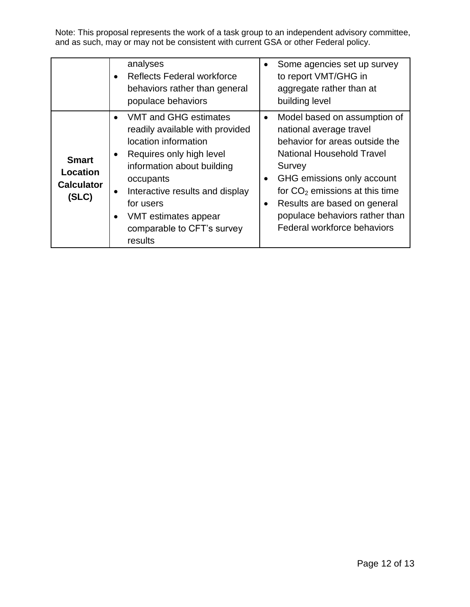|                                                        | analyses<br><b>Reflects Federal workforce</b><br>$\bullet$<br>behaviors rather than general<br>populace behaviors                                                                                                                                                                                                            | Some agencies set up survey<br>to report VMT/GHG in<br>aggregate rather than at<br>building level                                                                                                                                                                                                          |
|--------------------------------------------------------|------------------------------------------------------------------------------------------------------------------------------------------------------------------------------------------------------------------------------------------------------------------------------------------------------------------------------|------------------------------------------------------------------------------------------------------------------------------------------------------------------------------------------------------------------------------------------------------------------------------------------------------------|
| <b>Smart</b><br>Location<br><b>Calculator</b><br>(SLC) | VMT and GHG estimates<br>$\bullet$<br>readily available with provided<br>location information<br>Requires only high level<br>$\bullet$<br>information about building<br>occupants<br>Interactive results and display<br>$\bullet$<br>for users<br>VMT estimates appear<br>$\bullet$<br>comparable to CFT's survey<br>results | Model based on assumption of<br>national average travel<br>behavior for areas outside the<br><b>National Household Travel</b><br>Survey<br>GHG emissions only account<br>for $CO2$ emissions at this time<br>Results are based on general<br>populace behaviors rather than<br>Federal workforce behaviors |